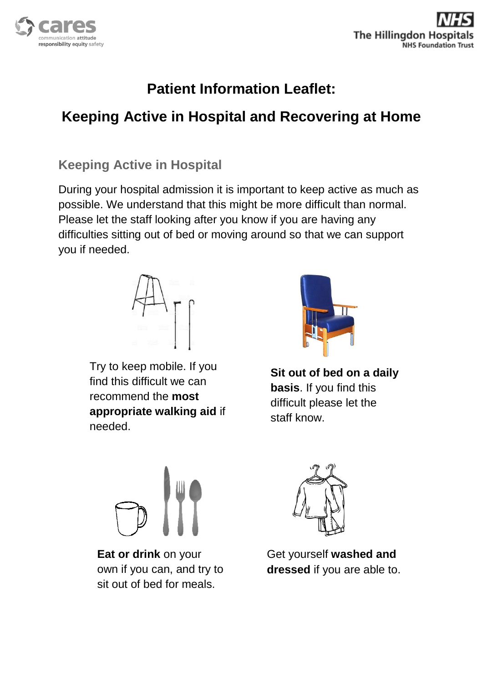

# **Patient Information Leaflet:**

## **Keeping Active in Hospital and Recovering at Home**

#### **Keeping Active in Hospital**

During your hospital admission it is important to keep active as much as possible. We understand that this might be more difficult than normal. Please let the staff looking after you know if you are having any difficulties sitting out of bed or moving around so that we can support you if needed.



Try to keep mobile. If you find this difficult we can recommend the **most appropriate walking aid** if needed.



**Sit out of bed on a daily basis**. If you find this difficult please let the staff know.



**Eat or drink** on your own if you can, and try to sit out of bed for meals.



Get yourself **washed and dressed** if you are able to.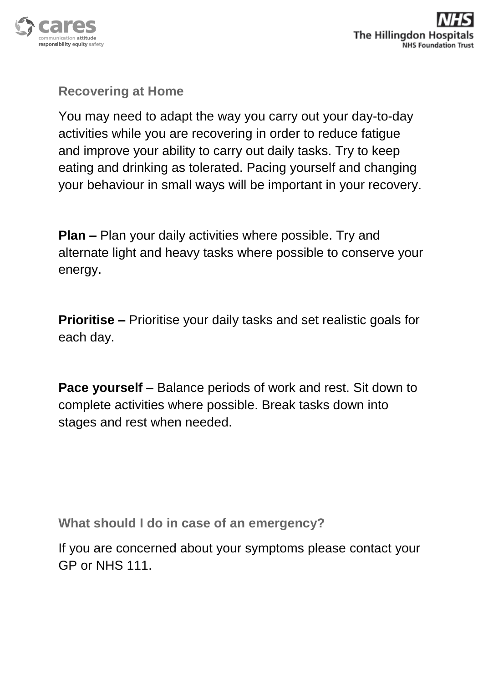

## **Recovering at Home**

You may need to adapt the way you carry out your day-to-day activities while you are recovering in order to reduce fatigue and improve your ability to carry out daily tasks. Try to keep eating and drinking as tolerated. Pacing yourself and changing your behaviour in small ways will be important in your recovery.

**Plan –** Plan your daily activities where possible. Try and alternate light and heavy tasks where possible to conserve your energy.

**Prioritise –** Prioritise your daily tasks and set realistic goals for each day.

**Pace yourself –** Balance periods of work and rest. Sit down to complete activities where possible. Break tasks down into stages and rest when needed.

**What should I do in case of an emergency?**

If you are concerned about your symptoms please contact your GP or NHS 111.